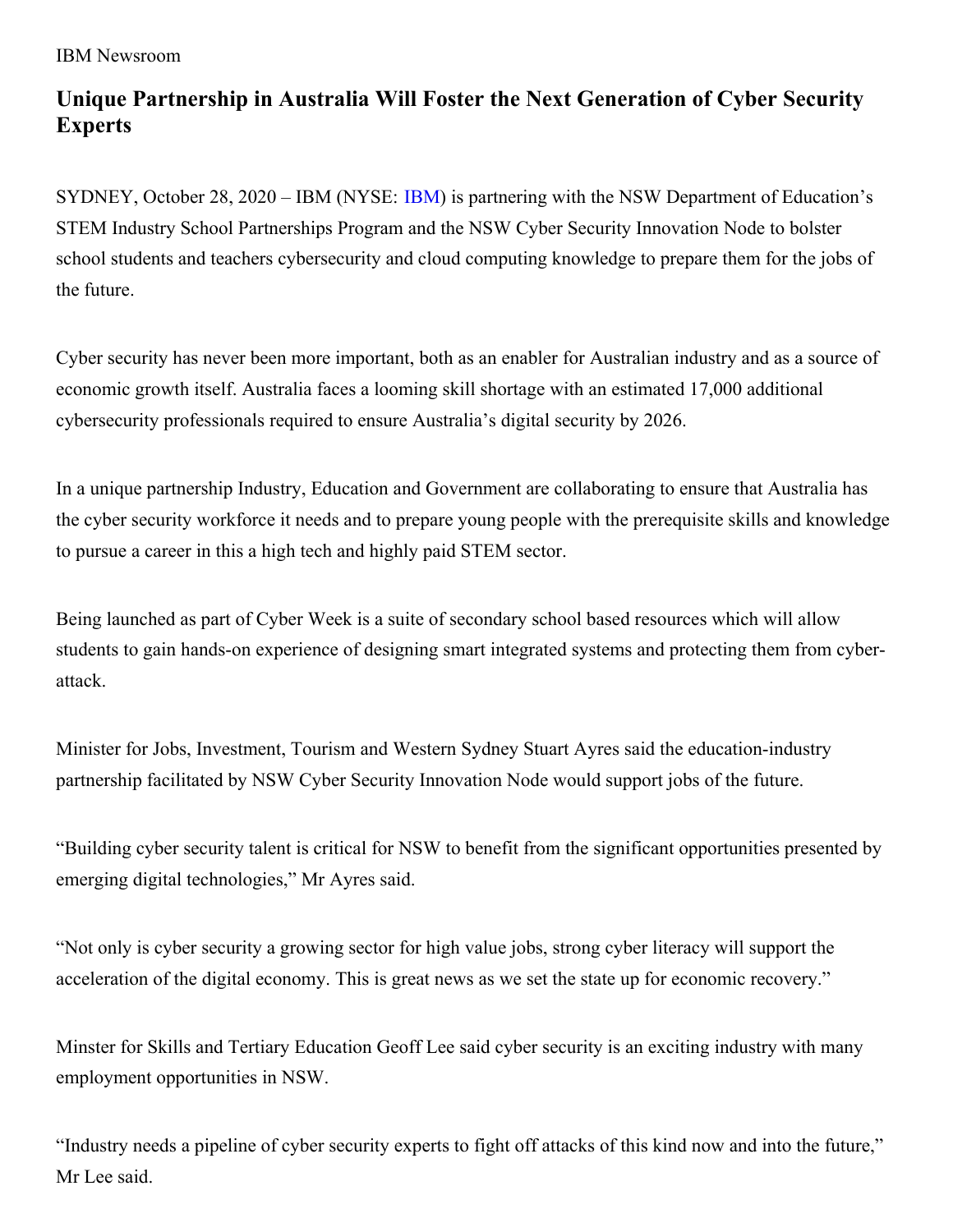IBM Newsroom

## **Unique Partnership in Australia Will Foster the Next Generation of Cyber Security Experts**

SYDNEY, October 28, 2020 – IBM (NYSE: [IBM](http://www.ibm.com/investor)) is partnering with the NSW Department of Education's STEM Industry School Partnerships Program and the NSW Cyber Security Innovation Node to bolster school students and teachers cybersecurity and cloud computing knowledge to prepare them for the jobs of the future.

Cyber security has never been more important, both as an enabler for Australian industry and as a source of economic growth itself. Australia faces a looming skill shortage with an estimated 17,000 additional cybersecurity professionals required to ensure Australia's digital security by 2026.

In a unique partnership Industry, Education and Government are collaborating to ensure that Australia has the cyber security workforce it needs and to prepare young people with the prerequisite skills and knowledge to pursue a career in this a high tech and highly paid STEM sector.

Being launched as part of Cyber Week is a suite of secondary school based resources which will allow students to gain hands-on experience of designing smart integrated systems and protecting them from cyberattack.

Minister for Jobs, Investment, Tourism and Western Sydney Stuart Ayres said the education-industry partnership facilitated by NSW Cyber Security Innovation Node would support jobs of the future.

"Building cyber security talent is critical for NSW to benefit from the significant opportunities presented by emerging digital technologies," Mr Ayres said.

"Not only is cyber security a growing sector for high value jobs, strong cyber literacy will support the acceleration of the digital economy. This is great news as we set the state up for economic recovery."

Minster for Skills and Tertiary Education Geoff Lee said cyber security is an exciting industry with many employment opportunities in NSW.

"Industry needs a pipeline of cyber security experts to fight off attacks of this kind now and into the future," Mr Lee said.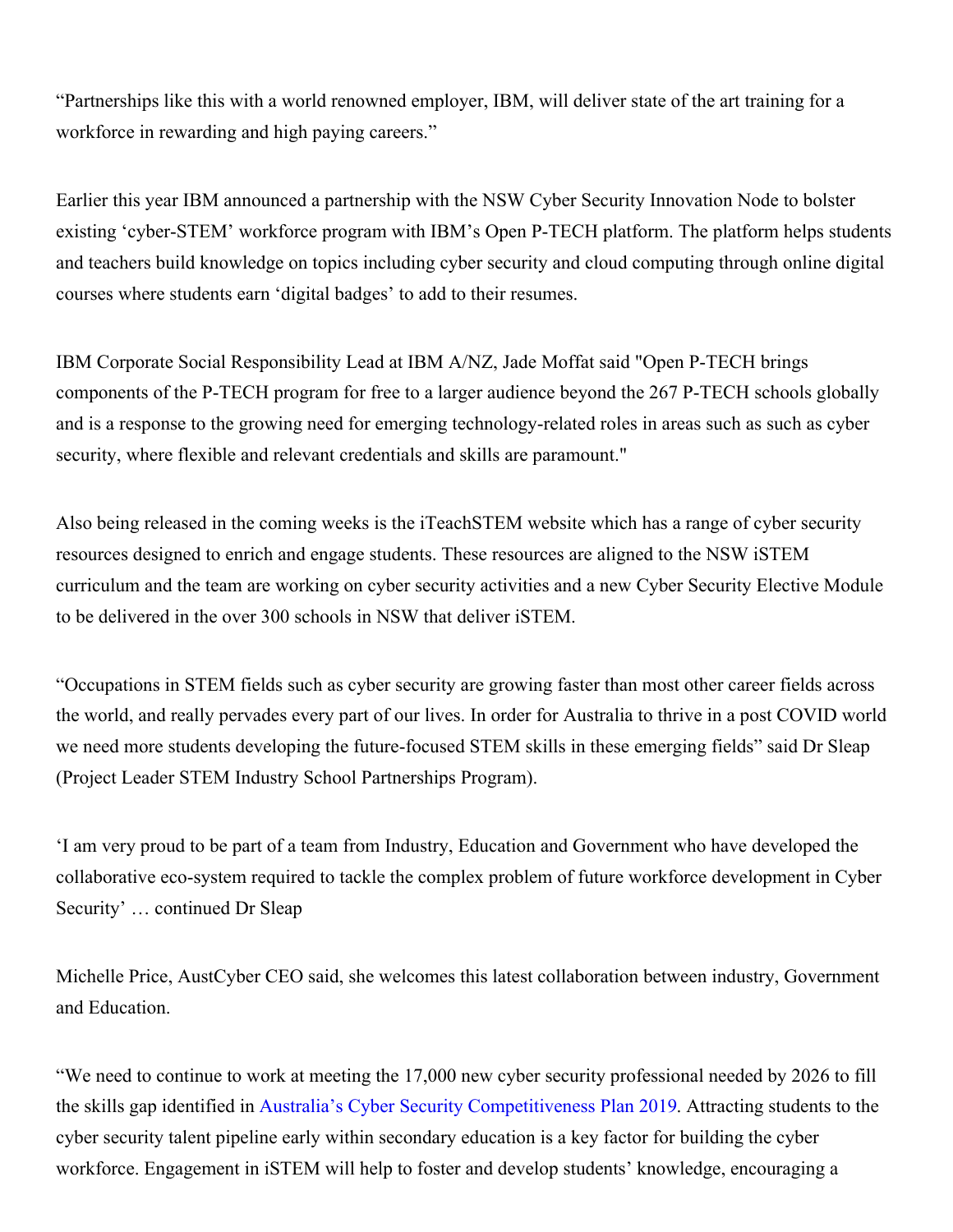"Partnerships like this with a world renowned employer, IBM, will deliver state of the art training for a workforce in rewarding and high paying careers."

Earlier this year IBM announced a partnership with the NSW Cyber Security Innovation Node to bolster existing 'cyber-STEM' workforce program with IBM's Open P-TECH platform. The platform helps students and teachers build knowledge on topics including cyber security and cloud computing through online digital courses where students earn 'digital badges' to add to their resumes.

IBM Corporate Social Responsibility Lead at IBM A/NZ, Jade Moffat said "Open P-TECH brings components of the P-TECH program for free to a larger audience beyond the 267 P-TECH schools globally and is a response to the growing need for emerging technology-related roles in areas such as such as cyber security, where flexible and relevant credentials and skills are paramount."

Also being released in the coming weeks is the iTeachSTEM website which has a range of cyber security resources designed to enrich and engage students. These resources are aligned to the NSW iSTEM curriculum and the team are working on cyber security activities and a new Cyber Security Elective Module to be delivered in the over 300 schools in NSW that deliver iSTEM.

"Occupations in STEM fields such as cyber security are growing faster than most other career fields across the world, and really pervades every part of our lives. In order for Australia to thrive in a post COVID world we need more students developing the future-focused STEM skills in these emerging fields" said Dr Sleap (Project Leader STEM Industry School Partnerships Program).

'I am very proud to be part of a team from Industry, Education and Government who have developed the collaborative eco-system required to tackle the complex problem of future workforce development in Cyber Security' … continued Dr Sleap

Michelle Price, AustCyber CEO said, she welcomes this latest collaboration between industry, Government and Education.

"We need to continue to work at meeting the 17,000 new cyber security professional needed by 2026 to fill the skills gap identified in Australia's Cyber Security [Competitiveness](https://www.austcyber.com/resources/sector-competitiveness-plan/chapter3) Plan 2019. Attracting students to the cyber security talent pipeline early within secondary education is a key factor for building the cyber workforce. Engagement in iSTEM will help to foster and develop students' knowledge, encouraging a